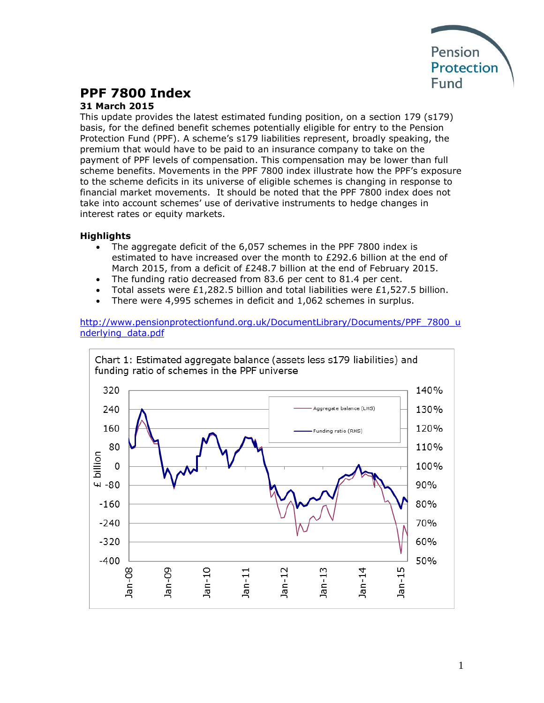

# **PPF 7800 Index**

### **31 March 2015**

This update provides the latest estimated funding position, on a section 179 (s179) basis, for the defined benefit schemes potentially eligible for entry to the Pension Protection Fund (PPF). A scheme's s179 liabilities represent, broadly speaking, the premium that would have to be paid to an insurance company to take on the payment of PPF levels of compensation. This compensation may be lower than full scheme benefits. Movements in the PPF 7800 index illustrate how the PPF's exposure to the scheme deficits in its universe of eligible schemes is changing in response to financial market movements. It should be noted that the PPF 7800 index does not take into account schemes' use of derivative instruments to hedge changes in interest rates or equity markets.

### **Highlights**

- The aggregate deficit of the 6,057 schemes in the PPF 7800 index is estimated to have increased over the month to £292.6 billion at the end of March 2015, from a deficit of £248.7 billion at the end of February 2015.
- The funding ratio decreased from 83.6 per cent to 81.4 per cent.
- Total assets were £1,282.5 billion and total liabilities were £1,527.5 billion.
- There were 4,995 schemes in deficit and 1,062 schemes in surplus.

[http://www.pensionprotectionfund.org.uk/DocumentLibrary/Documents/PPF\\_7800\\_u](http://www.pensionprotectionfund.org.uk/DocumentLibrary/Documents/PPF_7800_underlying_data.pdf) [nderlying\\_data.pdf](http://www.pensionprotectionfund.org.uk/DocumentLibrary/Documents/PPF_7800_underlying_data.pdf)

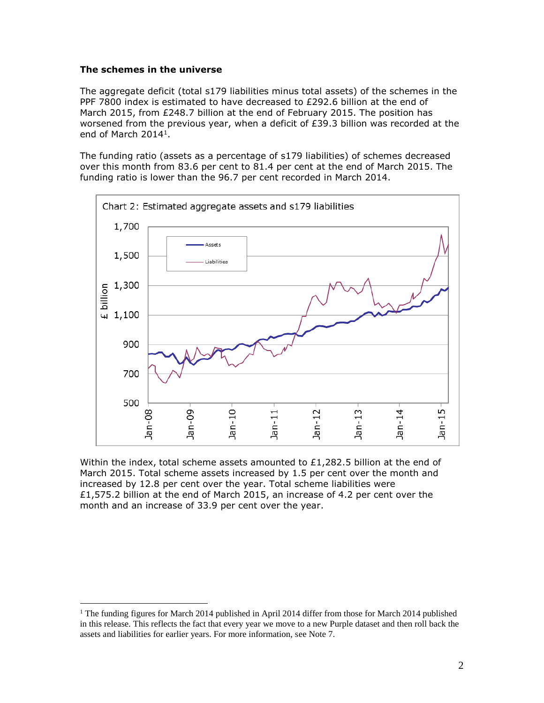#### **The schemes in the universe**

 $\overline{a}$ 

The aggregate deficit (total s179 liabilities minus total assets) of the schemes in the PPF 7800 index is estimated to have decreased to £292.6 billion at the end of March 2015, from £248.7 billion at the end of February 2015. The position has worsened from the previous year, when a deficit of £39.3 billion was recorded at the end of March 2014<sup>1</sup>.

The funding ratio (assets as a percentage of s179 liabilities) of schemes decreased over this month from 83.6 per cent to 81.4 per cent at the end of March 2015. The funding ratio is lower than the 96.7 per cent recorded in March 2014.



Within the index, total scheme assets amounted to  $£1,282.5$  billion at the end of March 2015. Total scheme assets increased by 1.5 per cent over the month and increased by 12.8 per cent over the year. Total scheme liabilities were £1,575.2 billion at the end of March 2015, an increase of 4.2 per cent over the month and an increase of 33.9 per cent over the year.

<sup>&</sup>lt;sup>1</sup> The funding figures for March 2014 published in April 2014 differ from those for March 2014 published in this release. This reflects the fact that every year we move to a new Purple dataset and then roll back the assets and liabilities for earlier years. For more information, see Note 7.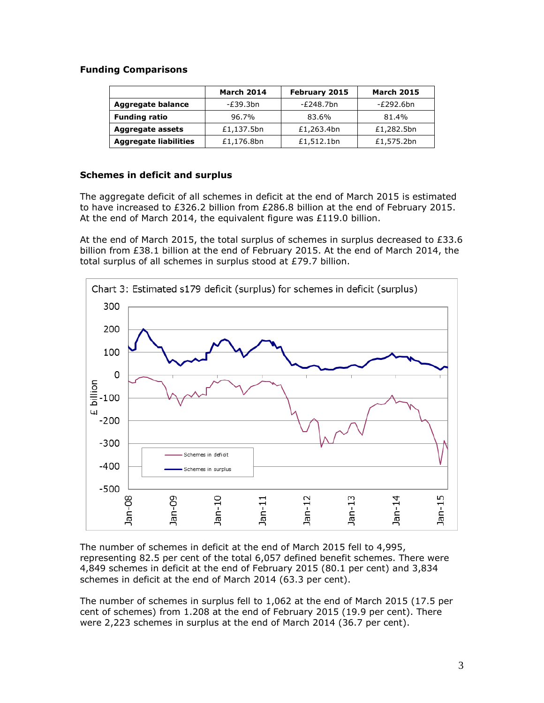### **Funding Comparisons**

|                              | <b>March 2014</b> | February 2015 | <b>March 2015</b> |
|------------------------------|-------------------|---------------|-------------------|
| <b>Aggregate balance</b>     | -£39.3bn          | -£248.7bn     | -£292.6bn         |
| <b>Funding ratio</b>         | 96.7%             | 83.6%         | 81.4%             |
| <b>Aggregate assets</b>      | £1,137.5bn        | £1,263.4bn    | £1,282.5bn        |
| <b>Aggregate liabilities</b> | £1,176.8bn        | £1,512.1bn    | £1,575.2bn        |

#### **Schemes in deficit and surplus**

The aggregate deficit of all schemes in deficit at the end of March 2015 is estimated to have increased to £326.2 billion from £286.8 billion at the end of February 2015. At the end of March 2014, the equivalent figure was £119.0 billion.

At the end of March 2015, the total surplus of schemes in surplus decreased to  $£33.6$ billion from £38.1 billion at the end of February 2015. At the end of March 2014, the total surplus of all schemes in surplus stood at £79.7 billion.



The number of schemes in deficit at the end of March 2015 fell to 4,995, representing 82.5 per cent of the total 6,057 defined benefit schemes. There were 4,849 schemes in deficit at the end of February 2015 (80.1 per cent) and 3,834 schemes in deficit at the end of March 2014 (63.3 per cent).

The number of schemes in surplus fell to 1,062 at the end of March 2015 (17.5 per cent of schemes) from 1.208 at the end of February 2015 (19.9 per cent). There were 2,223 schemes in surplus at the end of March 2014 (36.7 per cent).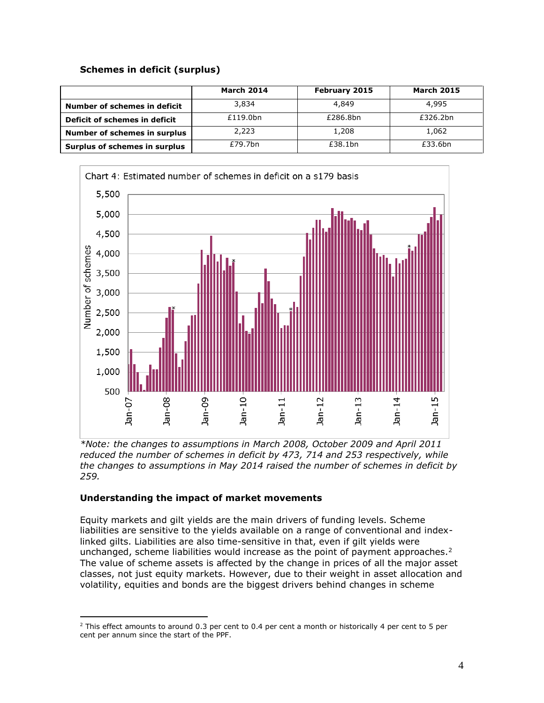### **Schemes in deficit (surplus)**

|                                     | <b>March 2014</b> | February 2015 | <b>March 2015</b> |
|-------------------------------------|-------------------|---------------|-------------------|
| Number of schemes in deficit        | 3,834             | 4,849         | 4,995             |
| Deficit of schemes in deficit       | £119.0bn          | £286.8bn      | £326.2bn          |
| <b>Number of schemes in surplus</b> | 2,223             | 1,208         | 1,062             |
| Surplus of schemes in surplus       | £79.7bn           | £38.1bn       | £33.6bn           |



*\*Note: the changes to assumptions in March 2008, October 2009 and April 2011 reduced the number of schemes in deficit by 473, 714 and 253 respectively, while the changes to assumptions in May 2014 raised the number of schemes in deficit by 259.*

### **Understanding the impact of market movements**

 $\overline{a}$ 

Equity markets and gilt yields are the main drivers of funding levels. Scheme liabilities are sensitive to the yields available on a range of conventional and indexlinked gilts. Liabilities are also time-sensitive in that, even if gilt yields were unchanged, scheme liabilities would increase as the point of payment approaches.<sup>2</sup> The value of scheme assets is affected by the change in prices of all the major asset classes, not just equity markets. However, due to their weight in asset allocation and volatility, equities and bonds are the biggest drivers behind changes in scheme

<sup>&</sup>lt;sup>2</sup> This effect amounts to around 0.3 per cent to 0.4 per cent a month or historically 4 per cent to 5 per cent per annum since the start of the PPF.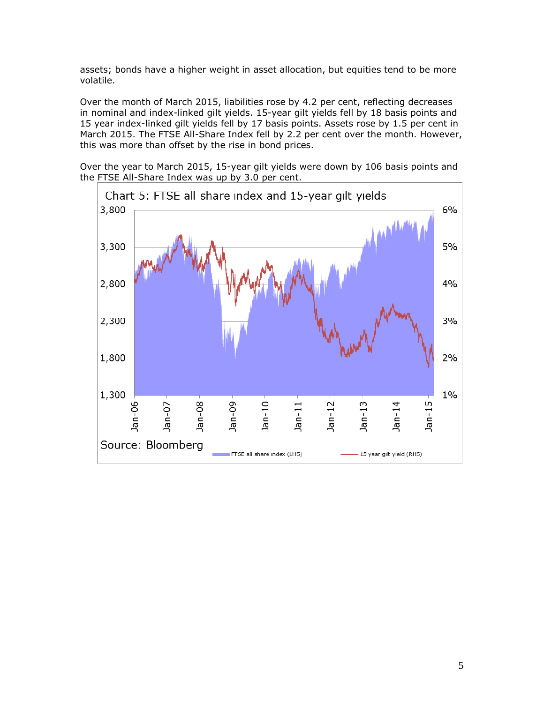assets; bonds have a higher weight in asset allocation, but equities tend to be more volatile.

Over the month of March 2015, liabilities rose by 4.2 per cent, reflecting decreases in nominal and index-linked gilt yields. 15-year gilt yields fell by 18 basis points and 15 year index-linked gilt yields fell by 17 basis points. Assets rose by 1.5 per cent in March 2015. The FTSE All-Share Index fell by 2.2 per cent over the month. However, this was more than offset by the rise in bond prices.

Over the year to March 2015, 15-year gilt yields were down by 106 basis points and the FTSE All-Share Index was up by 3.0 per cent.

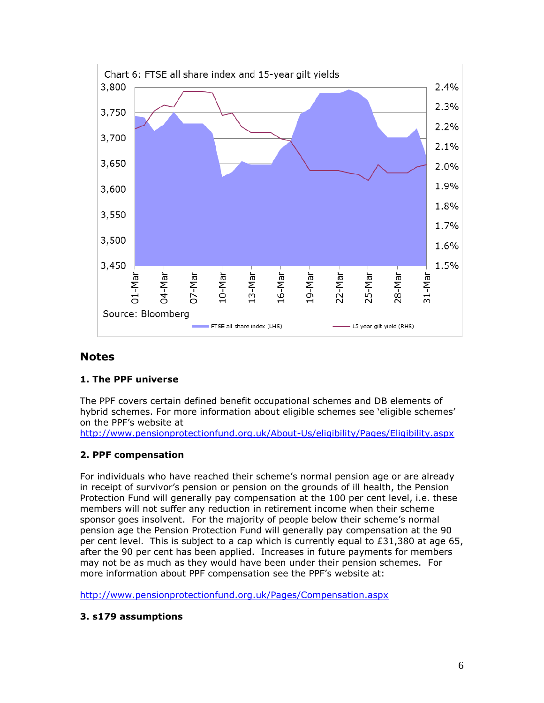

# **Notes**

### **1. The PPF universe**

The PPF covers certain defined benefit occupational schemes and DB elements of hybrid schemes. For more information about eligible schemes see 'eligible schemes' on the PPF's website at

<http://www.pensionprotectionfund.org.uk/About-Us/eligibility/Pages/Eligibility.aspx>

### **2. PPF compensation**

For individuals who have reached their scheme's normal pension age or are already in receipt of survivor's pension or pension on the grounds of ill health, the Pension Protection Fund will generally pay compensation at the 100 per cent level, i.e. these members will not suffer any reduction in retirement income when their scheme sponsor goes insolvent. For the majority of people below their scheme's normal pension age the Pension Protection Fund will generally pay compensation at the 90 per cent level. This is subject to a cap which is currently equal to  $E31,380$  at age 65, after the 90 per cent has been applied. Increases in future payments for members may not be as much as they would have been under their pension schemes. For more information about PPF compensation see the PPF's website at:

<http://www.pensionprotectionfund.org.uk/Pages/Compensation.aspx>

### **3. s179 assumptions**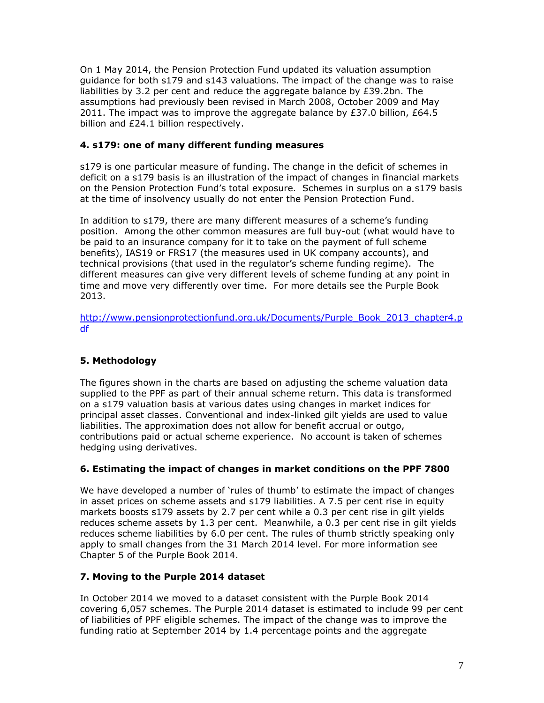On 1 May 2014, the Pension Protection Fund updated its valuation assumption guidance for both s179 and s143 valuations. The impact of the change was to raise liabilities by 3.2 per cent and reduce the aggregate balance by £39.2bn. The assumptions had previously been revised in March 2008, October 2009 and May 2011. The impact was to improve the aggregate balance by £37.0 billion, £64.5 billion and £24.1 billion respectively.

### **4. s179: one of many different funding measures**

s179 is one particular measure of funding. The change in the deficit of schemes in deficit on a s179 basis is an illustration of the impact of changes in financial markets on the Pension Protection Fund's total exposure. Schemes in surplus on a s179 basis at the time of insolvency usually do not enter the Pension Protection Fund.

In addition to s179, there are many different measures of a scheme's funding position. Among the other common measures are full buy-out (what would have to be paid to an insurance company for it to take on the payment of full scheme benefits), IAS19 or FRS17 (the measures used in UK company accounts), and technical provisions (that used in the regulator's scheme funding regime). The different measures can give very different levels of scheme funding at any point in time and move very differently over time. For more details see the Purple Book 2013.

[http://www.pensionprotectionfund.org.uk/Documents/Purple\\_Book\\_2013\\_chapter4.p](http://www.pensionprotectionfund.org.uk/Documents/Purple_Book_2013_chapter4.pdf) [df](http://www.pensionprotectionfund.org.uk/Documents/Purple_Book_2013_chapter4.pdf)

## **5. Methodology**

The figures shown in the charts are based on adjusting the scheme valuation data supplied to the PPF as part of their annual scheme return. This data is transformed on a s179 valuation basis at various dates using changes in market indices for principal asset classes. Conventional and index-linked gilt yields are used to value liabilities. The approximation does not allow for benefit accrual or outgo, contributions paid or actual scheme experience. No account is taken of schemes hedging using derivatives.

### **6. Estimating the impact of changes in market conditions on the PPF 7800**

We have developed a number of 'rules of thumb' to estimate the impact of changes in asset prices on scheme assets and s179 liabilities. A 7.5 per cent rise in equity markets boosts s179 assets by 2.7 per cent while a 0.3 per cent rise in gilt yields reduces scheme assets by 1.3 per cent. Meanwhile, a 0.3 per cent rise in gilt yields reduces scheme liabilities by 6.0 per cent. The rules of thumb strictly speaking only apply to small changes from the 31 March 2014 level. For more information see Chapter 5 of the Purple Book 2014.

### **7. Moving to the Purple 2014 dataset**

In October 2014 we moved to a dataset consistent with the Purple Book 2014 covering 6,057 schemes. The Purple 2014 dataset is estimated to include 99 per cent of liabilities of PPF eligible schemes. The impact of the change was to improve the funding ratio at September 2014 by 1.4 percentage points and the aggregate